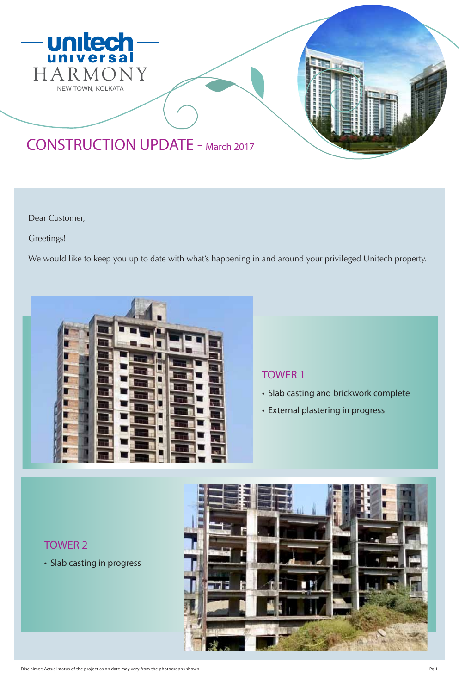



Dear Customer,

Greetings!

We would like to keep you up to date with what's happening in and around your privileged Unitech property.



### TOWER 1

- Slab casting and brickwork complete
- External plastering in progress

TOWER 2

• Slab casting in progress

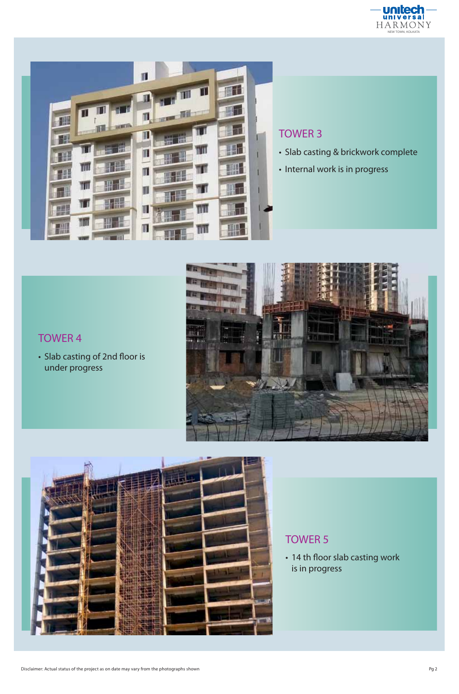



## TOWER 3

- Slab casting & brickwork complete
- Internal work is in progress



## TOWER 4

• Slab casting of 2nd floor is under progress



# TOWER 5

• 14 th floor slab casting work is in progress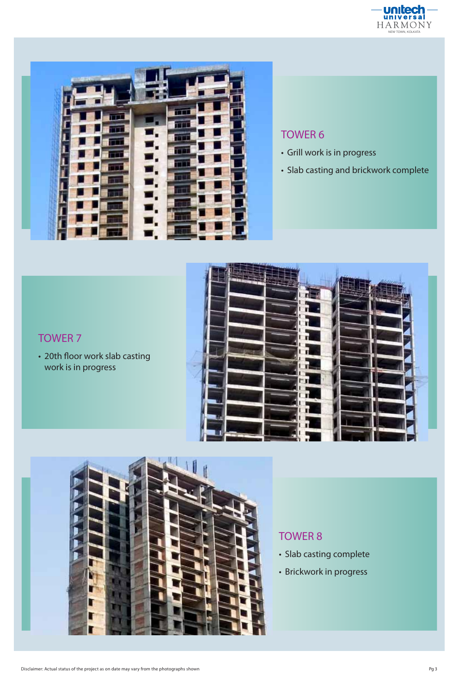



#### TOWER 6

- Grill work is in progress
- Slab casting and brickwork complete

## TOWER 7

• 20th floor work slab casting work is in progress





### TOWER 8

- Slab casting complete
- Brickwork in progress